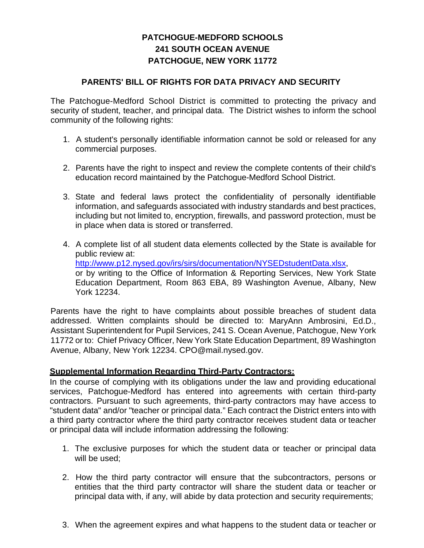## **PATCHOGUE-MEDFORD SCHOOLS 241 SOUTH OCEAN AVENUE PATCHOGUE, NEW YORK 11772**

## **PARENTS' BILL OF RIGHTS FOR DATA PRIVACY AND SECURITY**

 The Patchogue-Medford School District is committed to protecting the privacy and security of student, teacher, and principal data. The District wishes to inform the school community of the following rights:

- 1. A student's personally identifiable information cannot be sold or released for any commercial purposes.
- 2. Parents have the right to inspect and review the complete contents of their child's education record maintained by the Patchogue-Medford School District.
- 3. State and federal laws protect the confidentiality of personally identifiable information, and safeguards associated with industry standards and best practices, including but not limited to, encryption, firewalls, and password protection, must be in place when data is stored or transferred.
- or by writing to the Office of Information & Reporting Services, New York State 4. A complete list of all student data elements collected by the State is available for public review at: http://www.p12.nysed.gov/irs/sirs/documentation/NYSEDstudentData.xlsx, Education Department, Room 863 EBA, 89 Washington Avenue, Albany, New York 12234.

Parents have the right to have complaints about possible breaches of student data addressed. Written complaints should be directed to: MaryAnn Ambrosini, Ed.D., Assistant Superintendent for Pupil Services, 241 S. Ocean Avenue, Patchogue, New York 11772 or to: Chief Privacy Officer, New York State Education Department, 89 Washington Avenue, Albany, New York 12234. CPO@mail.nysed.gov.

## **Supplemental Information Regarding Third-Party Contractors:**

In the course of complying with its obligations under the law and providing educational services, Patchogue-Medford has entered into agreements with certain third-party contractors. Pursuant to such agreements, third-party contractors may have access to "student data" and/or "teacher or principal data." Each contract the District enters into with a third party contractor where the third party contractor receives student data or teacher or principal data will include information addressing the following:

- 1. The exclusive purposes for which the student data or teacher or principal data will be used:
- 2. How the third party contractor will ensure that the subcontractors, persons or entities that the third party contractor will share the student data or teacher or principal data with, if any, will abide by data protection and security requirements;
- 3. When the agreement expires and what happens to the student data or teacher or